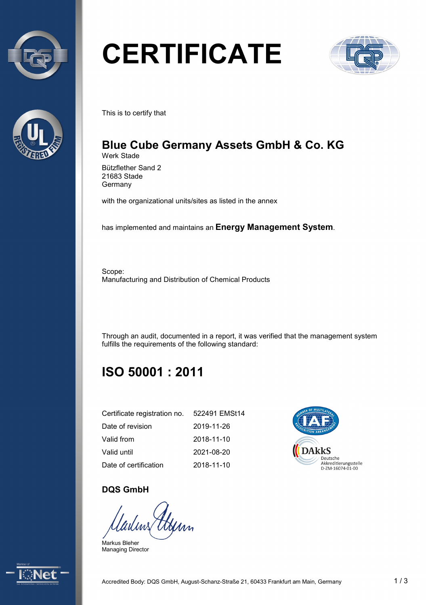



# **CERTIFICATE**



This is to certify that

#### **Blue Cube Germany Assets GmbH & Co. KG** Werk Stade

Bützflether Sand 2 21683 Stade **Germany** 

with the organizational units/sites as listed in the annex

has implemented and maintains an **Energy Management System**.

Scope: Manufacturing and Distribution of Chemical Products

Through an audit, documented in a report, it was verified that the management system fulfills the requirements of the following standard:

# **ISO 50001 : 2011**

| Certificate registration no. | 522491 EMSt14 |
|------------------------------|---------------|
| Date of revision             | 2019-11-26    |
| Valid from                   | 2018-11-10    |
| Valid until                  | 2021-08-20    |
| Date of certification        | 2018-11-10    |



### **DQS GmbH**

Gerry

Markus Bleher Managing Director

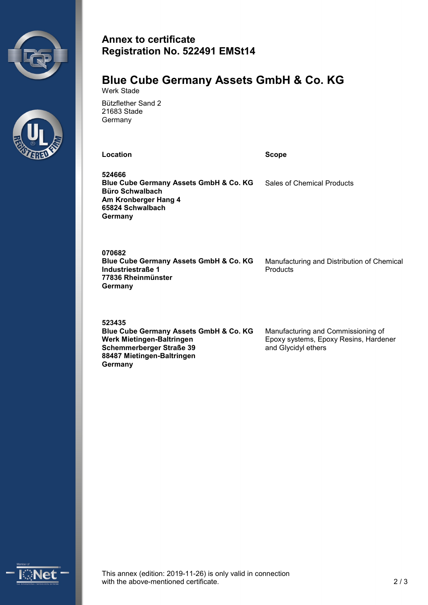



# **Annex to certificate Registration No. 522491 EMSt14**

#### **Blue Cube Germany Assets GmbH & Co. KG** Werk Stade

Bützflether Sand 2 21683 Stade **Germany** 

**Location Scope** 

**524666 Blue Cube Germany Assets GmbH & Co. KG Büro Schwalbach Am Kronberger Hang 4 65824 Schwalbach Germany** Sales of Chemical Products

**070682 Blue Cube Germany Assets GmbH & Co. KG Industriestraße 1 77836 Rheinmünster Germany** Manufacturing and Distribution of Chemical Products

**523435 Blue Cube Germany Assets GmbH & Co. KG Werk Mietingen-Baltringen Schemmerberger Straße 39 88487 Mietingen-Baltringen Germany** Manufacturing and Commissioning of Epoxy systems, Epoxy Resins, Hardener and Glycidyl ethers



This annex (edition: 2019-11-26) is only valid in connection with the above-mentioned certificate.  $\sim$  2/3